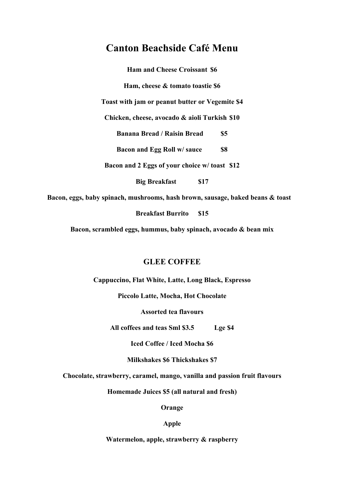# **Canton Beachside Café Menu**

**Ham and Cheese Croissant \$6 Ham, cheese & tomato toastie \$6 Toast with jam or peanut butter or Vegemite \$4 Chicken, cheese, avocado & aioli Turkish \$10 Banana Bread / Raisin Bread \$5 Bacon and Egg Roll w/ sauce \$8 Bacon and 2 Eggs of your choice w/ toast \$12**

**Big Breakfast \$17**

**Bacon, eggs, baby spinach, mushrooms, hash brown, sausage, baked beans & toast**

**Breakfast Burrito \$15**

**Bacon, scrambled eggs, hummus, baby spinach, avocado & bean mix**

#### **GLEE COFFEE**

**Cappuccino, Flat White, Latte, Long Black, Espresso**

**Piccolo Latte, Mocha, Hot Chocolate**

**Assorted tea flavours**

**All coffees and teas Sml \$3.5 Lge \$4**

**Iced Coffee / Iced Mocha \$6**

**Milkshakes \$6 Thickshakes \$7**

**Chocolate, strawberry, caramel, mango, vanilla and passion fruit flavours**

**Homemade Juices \$5 (all natural and fresh)**

**Orange**

#### **Apple**

**Watermelon, apple, strawberry & raspberry**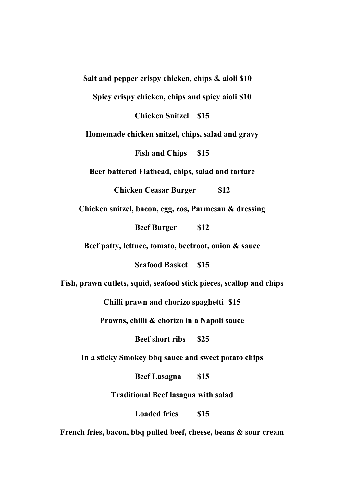**Salt and pepper crispy chicken, chips & aioli \$10 Spicy crispy chicken, chips and spicy aioli \$10 Chicken Snitzel \$15 Homemade chicken snitzel, chips, salad and gravy Fish and Chips \$15 Beer battered Flathead, chips, salad and tartare Chicken Ceasar Burger \$12 Chicken snitzel, bacon, egg, cos, Parmesan & dressing Beef Burger \$12 Beef patty, lettuce, tomato, beetroot, onion & sauce Seafood Basket \$15 Fish, prawn cutlets, squid, seafood stick pieces, scallop and chips Chilli prawn and chorizo spaghetti \$15 Prawns, chilli & chorizo in a Napoli sauce Beef short ribs \$25 In a sticky Smokey bbq sauce and sweet potato chips Beef Lasagna \$15 Traditional Beef lasagna with salad Loaded fries \$15 French fries, bacon, bbq pulled beef, cheese, beans & sour cream**